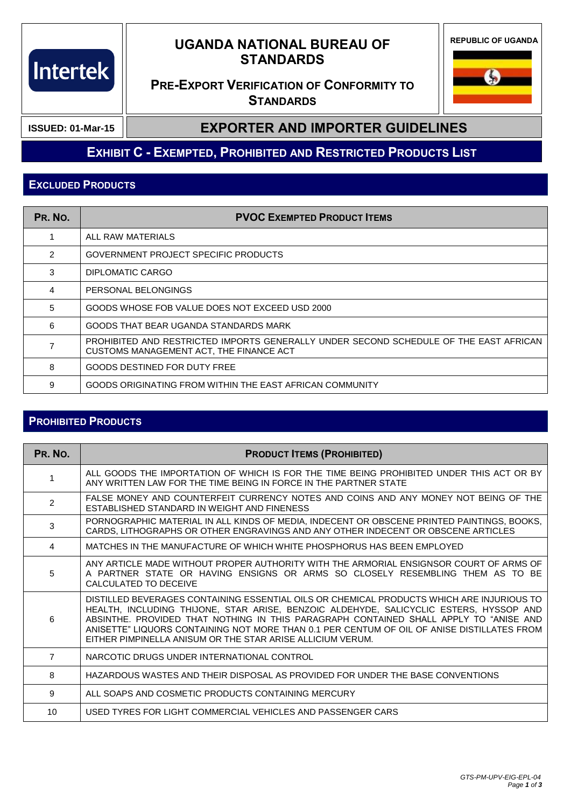# **Intertek**

## **UGANDA NATIONAL BUREAU OF STANDARDS**

**REPUBLIC OF UGANDA**

## **PRE-EXPORT VERIFICATION OF CONFORMITY TO STANDARDS**

**S** 

**ISSUED: 01-Mar-15**

#### **EXPORTER AND IMPORTER GUIDELINES**

## **EXHIBIT C - EXEMPTED, PROHIBITED AND RESTRICTED PRODUCTS LIST**

#### **EXCLUDED PRODUCTS**

| PR. NO.       | <b>PVOC EXEMPTED PRODUCT ITEMS</b>                                                                                               |
|---------------|----------------------------------------------------------------------------------------------------------------------------------|
|               | ALL RAW MATERIALS                                                                                                                |
| $\mathcal{P}$ | GOVERNMENT PROJECT SPECIFIC PRODUCTS                                                                                             |
| 3             | DIPLOMATIC CARGO                                                                                                                 |
| 4             | PERSONAL BELONGINGS                                                                                                              |
| 5.            | GOODS WHOSE FOB VALUE DOES NOT EXCEED USD 2000                                                                                   |
| 6             | GOODS THAT BEAR UGANDA STANDARDS MARK                                                                                            |
|               | PROHIBITED AND RESTRICTED IMPORTS GENERALLY UNDER SECOND SCHEDULE OF THE EAST AFRICAN<br>CUSTOMS MANAGEMENT ACT, THE FINANCE ACT |
| 8             | GOODS DESTINED FOR DUTY FREE                                                                                                     |
| 9             | GOODS ORIGINATING FROM WITHIN THE EAST AFRICAN COMMUNITY                                                                         |

#### **PROHIBITED PRODUCTS**

| PR. No.        | <b>PRODUCT ITEMS (PROHIBITED)</b>                                                                                                                                                                                                                                                                                                                                                                                                        |
|----------------|------------------------------------------------------------------------------------------------------------------------------------------------------------------------------------------------------------------------------------------------------------------------------------------------------------------------------------------------------------------------------------------------------------------------------------------|
|                | ALL GOODS THE IMPORTATION OF WHICH IS FOR THE TIME BEING PROHIBITED UNDER THIS ACT OR BY<br>ANY WRITTEN LAW FOR THE TIME BEING IN FORCE IN THE PARTNER STATE                                                                                                                                                                                                                                                                             |
| $\overline{2}$ | FALSE MONEY AND COUNTERFEIT CURRENCY NOTES AND COINS AND ANY MONEY NOT BEING OF THE<br>ESTABLISHED STANDARD IN WEIGHT AND FINENESS                                                                                                                                                                                                                                                                                                       |
| 3              | PORNOGRAPHIC MATERIAL IN ALL KINDS OF MEDIA, INDECENT OR OBSCENE PRINTED PAINTINGS, BOOKS,<br>CARDS, LITHOGRAPHS OR OTHER ENGRAVINGS AND ANY OTHER INDECENT OR OBSCENE ARTICLES                                                                                                                                                                                                                                                          |
| 4              | MATCHES IN THE MANUFACTURE OF WHICH WHITE PHOSPHORUS HAS BEEN EMPLOYED                                                                                                                                                                                                                                                                                                                                                                   |
| 5              | ANY ARTICLE MADE WITHOUT PROPER AUTHORITY WITH THE ARMORIAL ENSIGNSOR COURT OF ARMS OF<br>A PARTNER STATE OR HAVING ENSIGNS OR ARMS SO CLOSELY RESEMBLING THEM AS TO BE<br>CALCULATED TO DECEIVE                                                                                                                                                                                                                                         |
| 6              | DISTILLED BEVERAGES CONTAINING ESSENTIAL OILS OR CHEMICAL PRODUCTS WHICH ARE INJURIOUS TO<br>HEALTH, INCLUDING THIJONE, STAR ARISE, BENZOIC ALDEHYDE, SALICYCLIC ESTERS, HYSSOP AND<br>ABSINTHE. PROVIDED THAT NOTHING IN THIS PARAGRAPH CONTAINED SHALL APPLY TO "ANISE AND<br>ANISETTE" LIQUORS CONTAINING NOT MORE THAN 0.1 PER CENTUM OF OIL OF ANISE DISTILLATES FROM<br>FITHER PIMPINELLA ANISUM OR THE STAR ARISE ALLICIUM VERUM. |
| $\overline{7}$ | NARCOTIC DRUGS UNDER INTERNATIONAL CONTROL                                                                                                                                                                                                                                                                                                                                                                                               |
| 8              | HAZARDOUS WASTES AND THEIR DISPOSAL AS PROVIDED FOR UNDER THE BASE CONVENTIONS                                                                                                                                                                                                                                                                                                                                                           |
| 9              | ALL SOAPS AND COSMETIC PRODUCTS CONTAINING MERCURY                                                                                                                                                                                                                                                                                                                                                                                       |
| 10             | USED TYRES FOR LIGHT COMMERCIAL VEHICLES AND PASSENGER CARS                                                                                                                                                                                                                                                                                                                                                                              |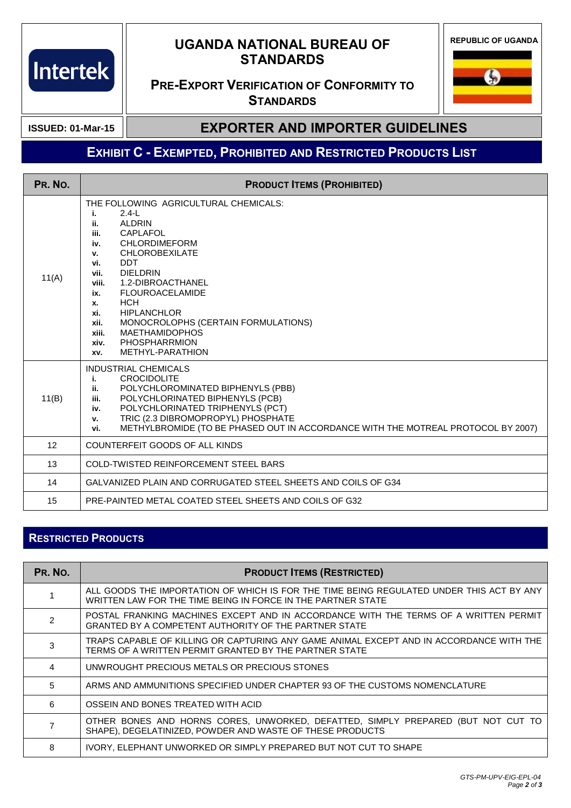## **UGANDA NATIONAL BUREAU OF STANDARDS**

**REPUBLIC OF UGANDA**

#### **PRE-EXPORT VERIFICATION OF CONFORMITY TO STANDARDS**



**ISSUED: 01-Mar-15**

Intertek

#### **EXPORTER AND IMPORTER GUIDELINES**

# **EXHIBIT C - EXEMPTED, PROHIBITED AND RESTRICTED PRODUCTS LIST**

| PR. NO. | <b>PRODUCT ITEMS (PROHIBITED)</b>                                                                                                                                                                                                                                                                                                                                                                                                                                                   |
|---------|-------------------------------------------------------------------------------------------------------------------------------------------------------------------------------------------------------------------------------------------------------------------------------------------------------------------------------------------------------------------------------------------------------------------------------------------------------------------------------------|
| 11(A)   | THE FOLLOWING AGRICULTURAL CHEMICALS:<br>$2.4-L$<br>i.<br><b>ALDRIN</b><br>ii.<br><b>CAPLAFOL</b><br>iii.<br><b>CHLORDIMEFORM</b><br>iv.<br><b>CHLOROBEXILATE</b><br>v.<br><b>DDT</b><br>vi.<br><b>DIELDRIN</b><br>vii.<br>1.2-DIBROACTHANEL<br>viii.<br><b>FLOUROACELAMIDE</b><br>ix.<br><b>HCH</b><br>x.<br><b>HIPLANCHLOR</b><br>xi.<br>MONOCROLOPHS (CERTAIN FORMULATIONS)<br>xii.<br><b>MAETHAMIDOPHOS</b><br>xiii.<br><b>PHOSPHARRMION</b><br>xiv.<br>METHYL-PARATHION<br>XV. |
| 11(B)   | <b>INDUSTRIAL CHEMICALS</b><br><b>CROCIDOLITE</b><br>i.<br>POLYCHLOROMINATED BIPHENYLS (PBB)<br>ii.<br>POLYCHLORINATED BIPHENYLS (PCB)<br>iii.<br>POLYCHLORINATED TRIPHENYLS (PCT)<br>iv.<br>TRIC (2.3 DIBROMOPROPYL) PHOSPHATE<br>v.<br>METHYLBROMIDE (TO BE PHASED OUT IN ACCORDANCE WITH THE MOTREAL PROTOCOL BY 2007)<br>vi.                                                                                                                                                    |
| 12      | COUNTERFEIT GOODS OF ALL KINDS                                                                                                                                                                                                                                                                                                                                                                                                                                                      |
| 13      | <b>COLD-TWISTED REINFORCEMENT STEEL BARS</b>                                                                                                                                                                                                                                                                                                                                                                                                                                        |
| 14      | GALVANIZED PLAIN AND CORRUGATED STEEL SHEETS AND COILS OF G34                                                                                                                                                                                                                                                                                                                                                                                                                       |
| 15      | PRE-PAINTED METAL COATED STEEL SHEETS AND COILS OF G32                                                                                                                                                                                                                                                                                                                                                                                                                              |

#### **RESTRICTED PRODUCTS**

| PR. NO. | <b>PRODUCT ITEMS (RESTRICTED)</b>                                                                                                                        |
|---------|----------------------------------------------------------------------------------------------------------------------------------------------------------|
|         | ALL GOODS THE IMPORTATION OF WHICH IS FOR THE TIME BEING REGULATED UNDER THIS ACT BY ANY<br>WRITTEN LAW FOR THE TIME BEING IN FORCE IN THE PARTNER STATE |
| 2       | POSTAL FRANKING MACHINES EXCEPT AND IN ACCORDANCE WITH THE TERMS OF A WRITTEN PERMIT<br>GRANTED BY A COMPETENT AUTHORITY OF THE PARTNER STATE            |
| 3       | TRAPS CAPABLE OF KILLING OR CAPTURING ANY GAME ANIMAL EXCEPT AND IN ACCORDANCE WITH THE<br>TERMS OF A WRITTEN PERMIT GRANTED BY THE PARTNER STATE        |
|         | UNWROUGHT PRECIOUS METALS OR PRECIOUS STONES                                                                                                             |
| 5       | ARMS AND AMMUNITIONS SPECIFIED UNDER CHAPTER 93 OF THE CUSTOMS NOMENCLATURE                                                                              |
| 6       | OSSEIN AND BONES TREATED WITH ACID                                                                                                                       |
|         | OTHER BONES AND HORNS CORES, UNWORKED, DEFATTED, SIMPLY PREPARED (BUT NOT CUT TO<br>SHAPE), DEGELATINIZED, POWDER AND WASTE OF THESE PRODUCTS            |
| 8       | IVORY, ELEPHANT UNWORKED OR SIMPLY PREPARED BUT NOT CUT TO SHAPE                                                                                         |